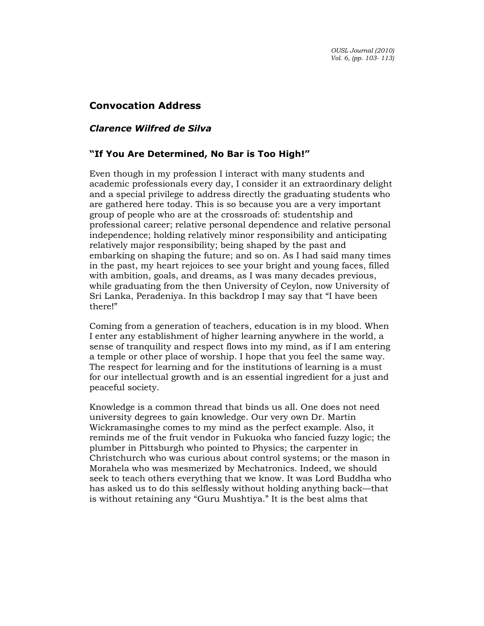# Convocation Address

## Clarence Wilfred de Silva

### "If You Are Determined, No Bar is Too High!"

Even though in my profession I interact with many students and academic professionals every day, I consider it an extraordinary delight and a special privilege to address directly the graduating students who are gathered here today. This is so because you are a very important group of people who are at the crossroads of: studentship and professional career; relative personal dependence and relative personal independence; holding relatively minor responsibility and anticipating relatively major responsibility; being shaped by the past and embarking on shaping the future; and so on. As I had said many times in the past, my heart rejoices to see your bright and young faces, filled with ambition, goals, and dreams, as I was many decades previous, while graduating from the then University of Ceylon, now University of Sri Lanka, Peradeniya. In this backdrop I may say that "I have been there!"

Coming from a generation of teachers, education is in my blood. When I enter any establishment of higher learning anywhere in the world, a sense of tranquility and respect flows into my mind, as if I am entering a temple or other place of worship. I hope that you feel the same way. The respect for learning and for the institutions of learning is a must for our intellectual growth and is an essential ingredient for a just and peaceful society.

Knowledge is a common thread that binds us all. One does not need university degrees to gain knowledge. Our very own Dr. Martin Wickramasinghe comes to my mind as the perfect example. Also, it reminds me of the fruit vendor in Fukuoka who fancied fuzzy logic; the plumber in Pittsburgh who pointed to Physics; the carpenter in Christchurch who was curious about control systems; or the mason in Morahela who was mesmerized by Mechatronics. Indeed, we should seek to teach others everything that we know. It was Lord Buddha who has asked us to do this selflessly without holding anything back—that is without retaining any "Guru Mushtiya." It is the best alms that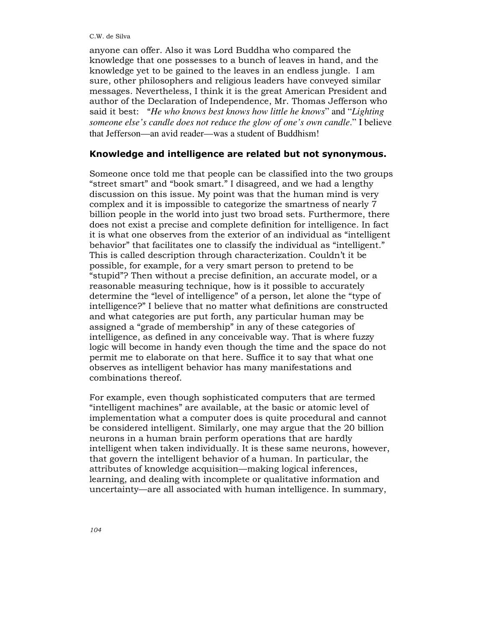anyone can offer. Also it was Lord Buddha who compared the knowledge that one possesses to a bunch of leaves in hand, and the knowledge yet to be gained to the leaves in an endless jungle. I am sure, other philosophers and religious leaders have conveyed similar messages. Nevertheless, I think it is the great American President and author of the Declaration of Independence, Mr. Thomas Jefferson who said it best: "*He who knows best knows how little he knows*" and "*Lighting someone else's candle does not reduce the glow of one's own candle*." I believe that Jefferson—an avid reader—was a student of Buddhism!

#### Knowledge and intelligence are related but not synonymous.

Someone once told me that people can be classified into the two groups "street smart" and "book smart." I disagreed, and we had a lengthy discussion on this issue. My point was that the human mind is very complex and it is impossible to categorize the smartness of nearly 7 billion people in the world into just two broad sets. Furthermore, there does not exist a precise and complete definition for intelligence. In fact it is what one observes from the exterior of an individual as "intelligent behavior" that facilitates one to classify the individual as "intelligent." This is called description through characterization. Couldn't it be possible, for example, for a very smart person to pretend to be "stupid"? Then without a precise definition, an accurate model, or a reasonable measuring technique, how is it possible to accurately determine the "level of intelligence" of a person, let alone the "type of intelligence?" I believe that no matter what definitions are constructed and what categories are put forth, any particular human may be assigned a "grade of membership" in any of these categories of intelligence, as defined in any conceivable way. That is where fuzzy logic will become in handy even though the time and the space do not permit me to elaborate on that here. Suffice it to say that what one observes as intelligent behavior has many manifestations and combinations thereof.

For example, even though sophisticated computers that are termed "intelligent machines" are available, at the basic or atomic level of implementation what a computer does is quite procedural and cannot be considered intelligent. Similarly, one may argue that the 20 billion neurons in a human brain perform operations that are hardly intelligent when taken individually. It is these same neurons, however, that govern the intelligent behavior of a human. In particular, the attributes of knowledge acquisition—making logical inferences, learning, and dealing with incomplete or qualitative information and uncertainty—are all associated with human intelligence. In summary,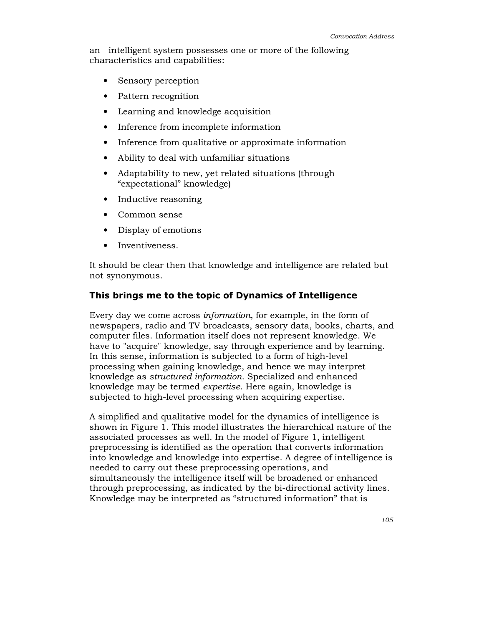an intelligent system possesses one or more of the following characteristics and capabilities:

- Sensory perception
- Pattern recognition
- Learning and knowledge acquisition
- Inference from incomplete information
- Inference from qualitative or approximate information
- Ability to deal with unfamiliar situations
- Adaptability to new, yet related situations (through "expectational" knowledge)
- Inductive reasoning
- Common sense
- Display of emotions
- Inventiveness.

It should be clear then that knowledge and intelligence are related but not synonymous.

### This brings me to the topic of Dynamics of Intelligence

Every day we come across information, for example, in the form of newspapers, radio and TV broadcasts, sensory data, books, charts, and computer files. Information itself does not represent knowledge. We have to "acquire" knowledge, say through experience and by learning. In this sense, information is subjected to a form of high-level processing when gaining knowledge, and hence we may interpret knowledge as structured information. Specialized and enhanced knowledge may be termed expertise. Here again, knowledge is subjected to high-level processing when acquiring expertise.

A simplified and qualitative model for the dynamics of intelligence is shown in Figure 1. This model illustrates the hierarchical nature of the associated processes as well. In the model of Figure 1, intelligent preprocessing is identified as the operation that converts information into knowledge and knowledge into expertise. A degree of intelligence is needed to carry out these preprocessing operations, and simultaneously the intelligence itself will be broadened or enhanced through preprocessing, as indicated by the bi-directional activity lines. Knowledge may be interpreted as "structured information" that is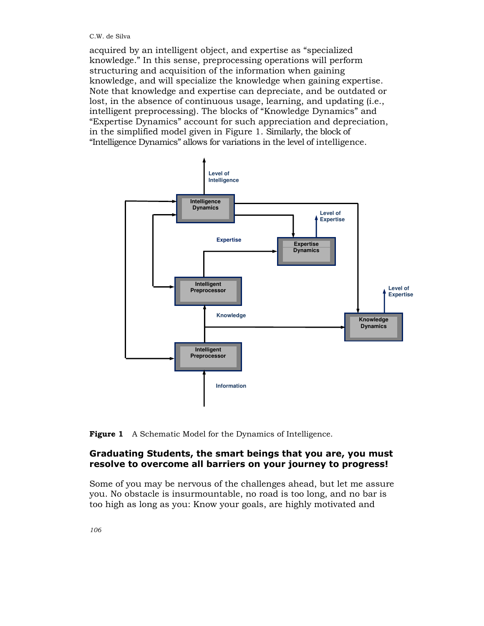acquired by an intelligent object, and expertise as "specialized knowledge." In this sense, preprocessing operations will perform structuring and acquisition of the information when gaining knowledge, and will specialize the knowledge when gaining expertise. Note that knowledge and expertise can depreciate, and be outdated or lost, in the absence of continuous usage, learning, and updating (i.e., intelligent preprocessing). The blocks of "Knowledge Dynamics" and "Expertise Dynamics" account for such appreciation and depreciation, in the simplified model given in Figure 1. Similarly, the block of "Intelligence Dynamics" allows for variations in the level of intelligence.



Figure 1 A Schematic Model for the Dynamics of Intelligence.

## Graduating Students, the smart beings that you are, you must resolve to overcome all barriers on your journey to progress!

Some of you may be nervous of the challenges ahead, but let me assure you. No obstacle is insurmountable, no road is too long, and no bar is too high as long as you: Know your goals, are highly motivated and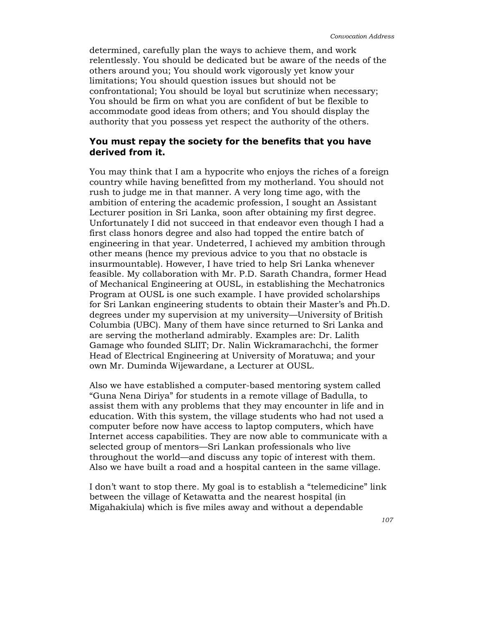determined, carefully plan the ways to achieve them, and work relentlessly. You should be dedicated but be aware of the needs of the others around you; You should work vigorously yet know your limitations; You should question issues but should not be confrontational; You should be loyal but scrutinize when necessary; You should be firm on what you are confident of but be flexible to accommodate good ideas from others; and You should display the authority that you possess yet respect the authority of the others.

### You must repay the society for the benefits that you have derived from it.

You may think that I am a hypocrite who enjoys the riches of a foreign country while having benefitted from my motherland. You should not rush to judge me in that manner. A very long time ago, with the ambition of entering the academic profession, I sought an Assistant Lecturer position in Sri Lanka, soon after obtaining my first degree. Unfortunately I did not succeed in that endeavor even though I had a first class honors degree and also had topped the entire batch of engineering in that year. Undeterred, I achieved my ambition through other means (hence my previous advice to you that no obstacle is insurmountable). However, I have tried to help Sri Lanka whenever feasible. My collaboration with Mr. P.D. Sarath Chandra, former Head of Mechanical Engineering at OUSL, in establishing the Mechatronics Program at OUSL is one such example. I have provided scholarships for Sri Lankan engineering students to obtain their Master's and Ph.D. degrees under my supervision at my university—University of British Columbia (UBC). Many of them have since returned to Sri Lanka and are serving the motherland admirably. Examples are: Dr. Lalith Gamage who founded SLIIT; Dr. Nalin Wickramarachchi, the former Head of Electrical Engineering at University of Moratuwa; and your own Mr. Duminda Wijewardane, a Lecturer at OUSL.

Also we have established a computer-based mentoring system called "Guna Nena Diriya" for students in a remote village of Badulla, to assist them with any problems that they may encounter in life and in education. With this system, the village students who had not used a computer before now have access to laptop computers, which have Internet access capabilities. They are now able to communicate with a selected group of mentors—Sri Lankan professionals who live throughout the world—and discuss any topic of interest with them. Also we have built a road and a hospital canteen in the same village.

I don't want to stop there. My goal is to establish a "telemedicine" link between the village of Ketawatta and the nearest hospital (in Migahakiula) which is five miles away and without a dependable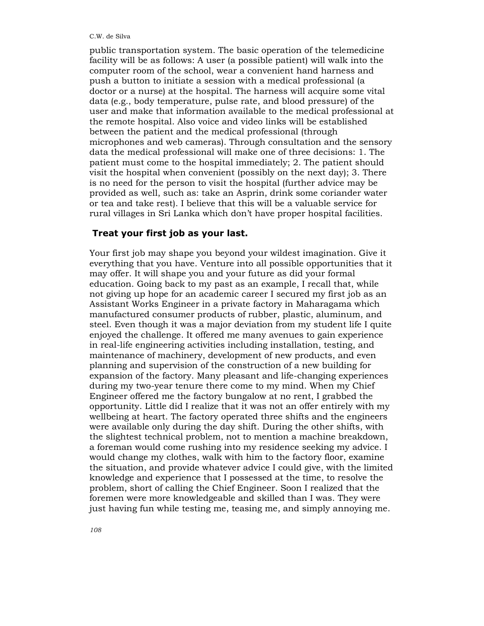public transportation system. The basic operation of the telemedicine facility will be as follows: A user (a possible patient) will walk into the computer room of the school, wear a convenient hand harness and push a button to initiate a session with a medical professional (a doctor or a nurse) at the hospital. The harness will acquire some vital data (e.g., body temperature, pulse rate, and blood pressure) of the user and make that information available to the medical professional at the remote hospital. Also voice and video links will be established between the patient and the medical professional (through microphones and web cameras). Through consultation and the sensory data the medical professional will make one of three decisions: 1. The patient must come to the hospital immediately; 2. The patient should visit the hospital when convenient (possibly on the next day); 3. There is no need for the person to visit the hospital (further advice may be provided as well, such as: take an Asprin, drink some coriander water or tea and take rest). I believe that this will be a valuable service for rural villages in Sri Lanka which don't have proper hospital facilities.

#### Treat your first job as your last.

Your first job may shape you beyond your wildest imagination. Give it everything that you have. Venture into all possible opportunities that it may offer. It will shape you and your future as did your formal education. Going back to my past as an example, I recall that, while not giving up hope for an academic career I secured my first job as an Assistant Works Engineer in a private factory in Maharagama which manufactured consumer products of rubber, plastic, aluminum, and steel. Even though it was a major deviation from my student life I quite enjoyed the challenge. It offered me many avenues to gain experience in real-life engineering activities including installation, testing, and maintenance of machinery, development of new products, and even planning and supervision of the construction of a new building for expansion of the factory. Many pleasant and life-changing experiences during my two-year tenure there come to my mind. When my Chief Engineer offered me the factory bungalow at no rent, I grabbed the opportunity. Little did I realize that it was not an offer entirely with my wellbeing at heart. The factory operated three shifts and the engineers were available only during the day shift. During the other shifts, with the slightest technical problem, not to mention a machine breakdown, a foreman would come rushing into my residence seeking my advice. I would change my clothes, walk with him to the factory floor, examine the situation, and provide whatever advice I could give, with the limited knowledge and experience that I possessed at the time, to resolve the problem, short of calling the Chief Engineer. Soon I realized that the foremen were more knowledgeable and skilled than I was. They were just having fun while testing me, teasing me, and simply annoying me.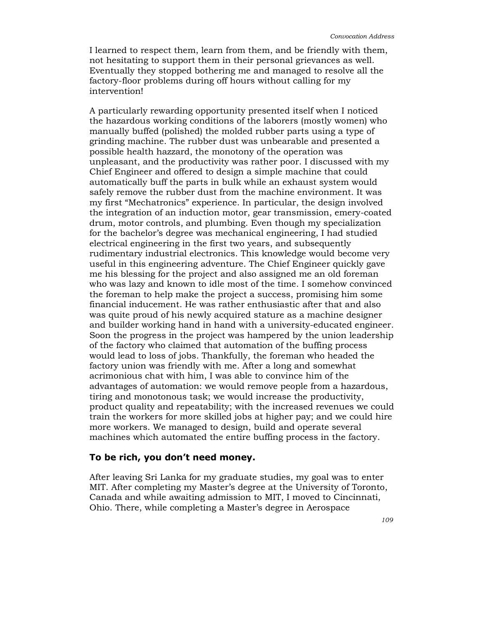I learned to respect them, learn from them, and be friendly with them, not hesitating to support them in their personal grievances as well. Eventually they stopped bothering me and managed to resolve all the factory-floor problems during off hours without calling for my intervention!

A particularly rewarding opportunity presented itself when I noticed the hazardous working conditions of the laborers (mostly women) who manually buffed (polished) the molded rubber parts using a type of grinding machine. The rubber dust was unbearable and presented a possible health hazzard, the monotony of the operation was unpleasant, and the productivity was rather poor. I discussed with my Chief Engineer and offered to design a simple machine that could automatically buff the parts in bulk while an exhaust system would safely remove the rubber dust from the machine environment. It was my first "Mechatronics" experience. In particular, the design involved the integration of an induction motor, gear transmission, emery-coated drum, motor controls, and plumbing. Even though my specialization for the bachelor's degree was mechanical engineering, I had studied electrical engineering in the first two years, and subsequently rudimentary industrial electronics. This knowledge would become very useful in this engineering adventure. The Chief Engineer quickly gave me his blessing for the project and also assigned me an old foreman who was lazy and known to idle most of the time. I somehow convinced the foreman to help make the project a success, promising him some financial inducement. He was rather enthusiastic after that and also was quite proud of his newly acquired stature as a machine designer and builder working hand in hand with a university-educated engineer. Soon the progress in the project was hampered by the union leadership of the factory who claimed that automation of the buffing process would lead to loss of jobs. Thankfully, the foreman who headed the factory union was friendly with me. After a long and somewhat acrimonious chat with him, I was able to convince him of the advantages of automation: we would remove people from a hazardous, tiring and monotonous task; we would increase the productivity, product quality and repeatability; with the increased revenues we could train the workers for more skilled jobs at higher pay; and we could hire more workers. We managed to design, build and operate several machines which automated the entire buffing process in the factory.

#### To be rich, you don't need money.

After leaving Sri Lanka for my graduate studies, my goal was to enter MIT. After completing my Master's degree at the University of Toronto, Canada and while awaiting admission to MIT, I moved to Cincinnati, Ohio. There, while completing a Master's degree in Aerospace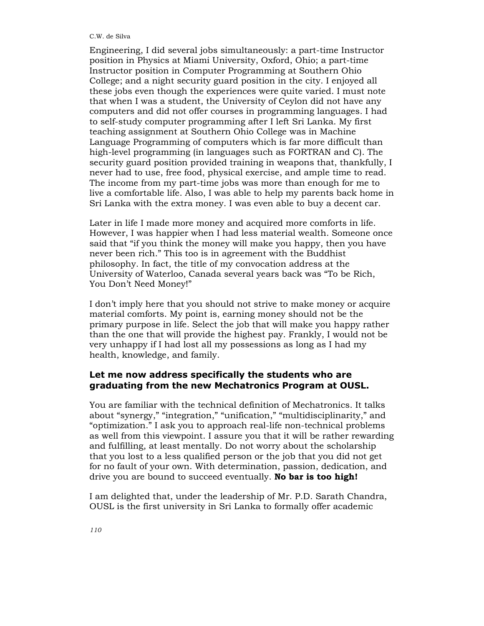#### C.W. de Silva

Engineering, I did several jobs simultaneously: a part-time Instructor position in Physics at Miami University, Oxford, Ohio; a part-time Instructor position in Computer Programming at Southern Ohio College; and a night security guard position in the city. I enjoyed all these jobs even though the experiences were quite varied. I must note that when I was a student, the University of Ceylon did not have any computers and did not offer courses in programming languages. I had to self-study computer programming after I left Sri Lanka. My first teaching assignment at Southern Ohio College was in Machine Language Programming of computers which is far more difficult than high-level programming (in languages such as FORTRAN and C). The security guard position provided training in weapons that, thankfully, I never had to use, free food, physical exercise, and ample time to read. The income from my part-time jobs was more than enough for me to live a comfortable life. Also, I was able to help my parents back home in Sri Lanka with the extra money. I was even able to buy a decent car.

Later in life I made more money and acquired more comforts in life. However, I was happier when I had less material wealth. Someone once said that "if you think the money will make you happy, then you have never been rich." This too is in agreement with the Buddhist philosophy. In fact, the title of my convocation address at the University of Waterloo, Canada several years back was "To be Rich, You Don't Need Money!"

I don't imply here that you should not strive to make money or acquire material comforts. My point is, earning money should not be the primary purpose in life. Select the job that will make you happy rather than the one that will provide the highest pay. Frankly, I would not be very unhappy if I had lost all my possessions as long as I had my health, knowledge, and family.

### Let me now address specifically the students who are graduating from the new Mechatronics Program at OUSL.

You are familiar with the technical definition of Mechatronics. It talks about "synergy," "integration," "unification," "multidisciplinarity," and "optimization." I ask you to approach real-life non-technical problems as well from this viewpoint. I assure you that it will be rather rewarding and fulfilling, at least mentally. Do not worry about the scholarship that you lost to a less qualified person or the job that you did not get for no fault of your own. With determination, passion, dedication, and drive you are bound to succeed eventually. No bar is too high!

I am delighted that, under the leadership of Mr. P.D. Sarath Chandra, OUSL is the first university in Sri Lanka to formally offer academic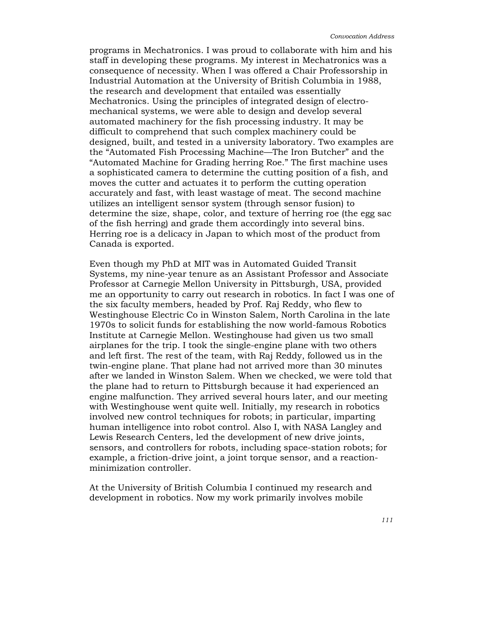programs in Mechatronics. I was proud to collaborate with him and his staff in developing these programs. My interest in Mechatronics was a consequence of necessity. When I was offered a Chair Professorship in Industrial Automation at the University of British Columbia in 1988, the research and development that entailed was essentially Mechatronics. Using the principles of integrated design of electromechanical systems, we were able to design and develop several automated machinery for the fish processing industry. It may be difficult to comprehend that such complex machinery could be designed, built, and tested in a university laboratory. Two examples are the "Automated Fish Processing Machine—The Iron Butcher" and the "Automated Machine for Grading herring Roe." The first machine uses a sophisticated camera to determine the cutting position of a fish, and moves the cutter and actuates it to perform the cutting operation accurately and fast, with least wastage of meat. The second machine utilizes an intelligent sensor system (through sensor fusion) to determine the size, shape, color, and texture of herring roe (the egg sac of the fish herring) and grade them accordingly into several bins. Herring roe is a delicacy in Japan to which most of the product from Canada is exported.

Even though my PhD at MIT was in Automated Guided Transit Systems, my nine-year tenure as an Assistant Professor and Associate Professor at Carnegie Mellon University in Pittsburgh, USA, provided me an opportunity to carry out research in robotics. In fact I was one of the six faculty members, headed by Prof. Raj Reddy, who flew to Westinghouse Electric Co in Winston Salem, North Carolina in the late 1970s to solicit funds for establishing the now world-famous Robotics Institute at Carnegie Mellon. Westinghouse had given us two small airplanes for the trip. I took the single-engine plane with two others and left first. The rest of the team, with Raj Reddy, followed us in the twin-engine plane. That plane had not arrived more than 30 minutes after we landed in Winston Salem. When we checked, we were told that the plane had to return to Pittsburgh because it had experienced an engine malfunction. They arrived several hours later, and our meeting with Westinghouse went quite well. Initially, my research in robotics involved new control techniques for robots; in particular, imparting human intelligence into robot control. Also I, with NASA Langley and Lewis Research Centers, led the development of new drive joints, sensors, and controllers for robots, including space-station robots; for example, a friction-drive joint, a joint torque sensor, and a reactionminimization controller.

At the University of British Columbia I continued my research and development in robotics. Now my work primarily involves mobile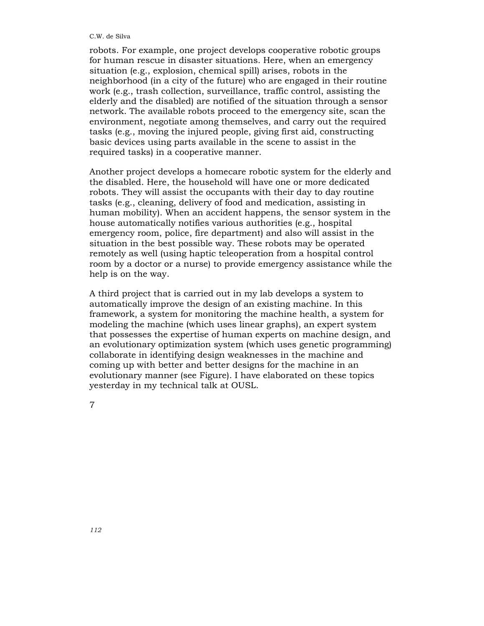robots. For example, one project develops cooperative robotic groups for human rescue in disaster situations. Here, when an emergency situation (e.g., explosion, chemical spill) arises, robots in the neighborhood (in a city of the future) who are engaged in their routine work (e.g., trash collection, surveillance, traffic control, assisting the elderly and the disabled) are notified of the situation through a sensor network. The available robots proceed to the emergency site, scan the environment, negotiate among themselves, and carry out the required tasks (e.g., moving the injured people, giving first aid, constructing basic devices using parts available in the scene to assist in the required tasks) in a cooperative manner.

Another project develops a homecare robotic system for the elderly and the disabled. Here, the household will have one or more dedicated robots. They will assist the occupants with their day to day routine tasks (e.g., cleaning, delivery of food and medication, assisting in human mobility). When an accident happens, the sensor system in the house automatically notifies various authorities (e.g., hospital emergency room, police, fire department) and also will assist in the situation in the best possible way. These robots may be operated remotely as well (using haptic teleoperation from a hospital control room by a doctor or a nurse) to provide emergency assistance while the help is on the way.

A third project that is carried out in my lab develops a system to automatically improve the design of an existing machine. In this framework, a system for monitoring the machine health, a system for modeling the machine (which uses linear graphs), an expert system that possesses the expertise of human experts on machine design, and an evolutionary optimization system (which uses genetic programming) collaborate in identifying design weaknesses in the machine and coming up with better and better designs for the machine in an evolutionary manner (see Figure). I have elaborated on these topics yesterday in my technical talk at OUSL.